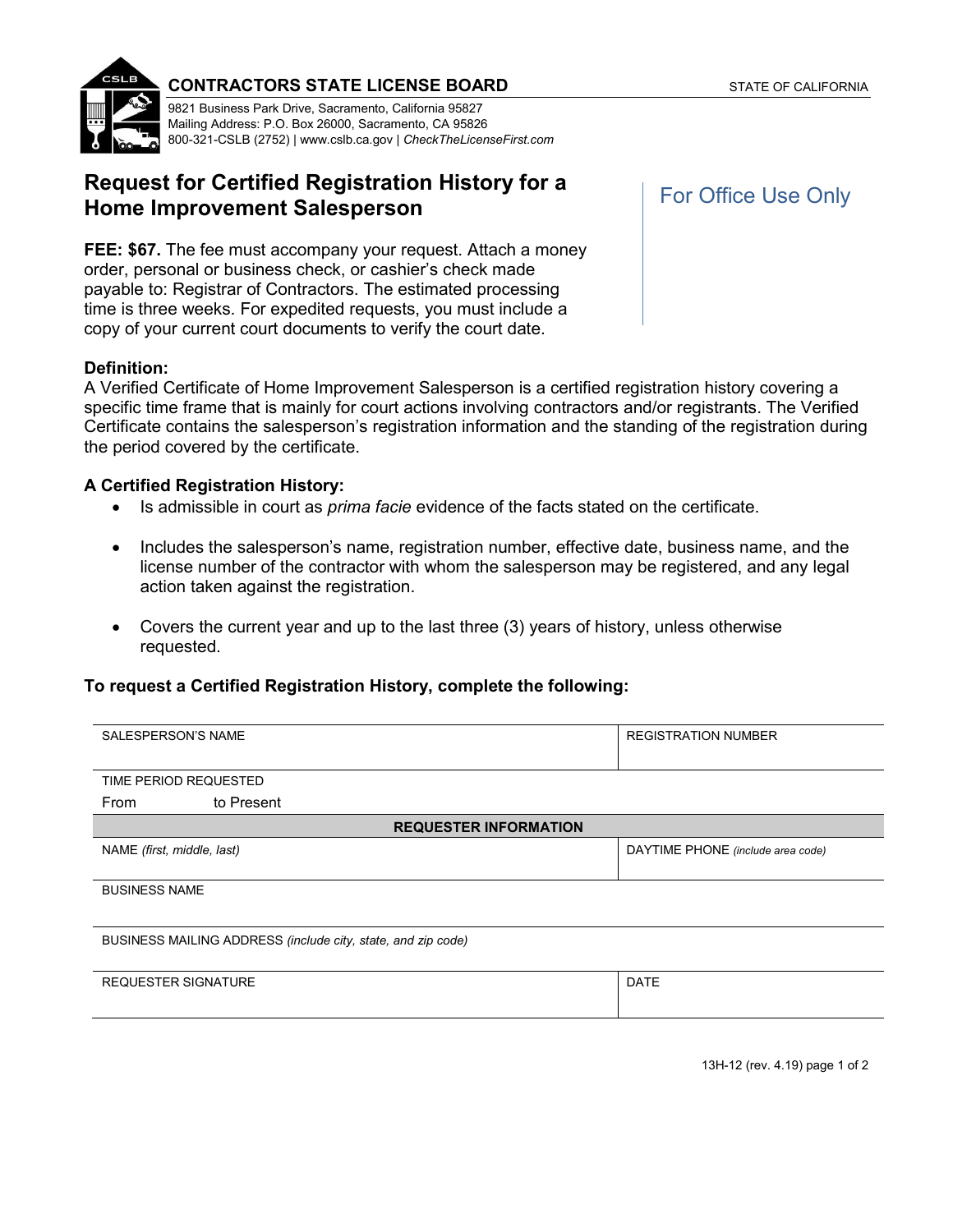



#### **CONTRACTORS STATE LICENSE BOARD** STATE OF CALIFORNIA

9821 Business Park Drive, Sacramento, California 95827 Mailing Address: P.O. Box 26000, Sacramento, CA 95826 800-321-CSLB (2752) | [www.cslb.ca.gov](http://www.cslb.ca.gov/) *| [CheckTheLicenseFirst.com](http://www.CheckTheLicenseFirst.com)* 

# **Request for Certified Registration History for a Home Improvement Salesperson**

**FEE: \$67.** The fee must accompany your request. Attach a money order, personal or business check, or cashier's check made payable to: Registrar of Contractors. The estimated processing time is three weeks. For expedited requests, you must include a copy of your current court documents to verify the court date.

### **Definition:**

A Verified Certificate of Home Improvement Salesperson is a certified registration history covering a specific time frame that is mainly for court actions involving contractors and/or registrants. The Verified Certificate contains the salesperson's registration information and the standing of the registration during the period covered by the certificate.

### **A Certified Registration History:**

- Is admissible in court as *prima facie* evidence of the facts stated on the certificate.
- Includes the salesperson's name, registration number, effective date, business name, and the license number of the contractor with whom the salesperson may be registered, and any legal action taken against the registration.
- Covers the current year and up to the last three (3) years of history, unless otherwise requested.

## **To request a Certified Registration History, complete the following:**

| <b>SALESPERSON'S NAME</b>                                    | <b>REGISTRATION NUMBER</b>        |
|--------------------------------------------------------------|-----------------------------------|
|                                                              |                                   |
| TIME PERIOD REQUESTED                                        |                                   |
| to Present<br>From                                           |                                   |
| <b>REQUESTER INFORMATION</b>                                 |                                   |
| NAME (first, middle, last)                                   | DAYTIME PHONE (include area code) |
|                                                              |                                   |
| <b>BUSINESS NAME</b>                                         |                                   |
|                                                              |                                   |
| BUSINESS MAILING ADDRESS (include city, state, and zip code) |                                   |
|                                                              |                                   |
| <b>REQUESTER SIGNATURE</b>                                   | <b>DATE</b>                       |
|                                                              |                                   |
|                                                              |                                   |
|                                                              |                                   |

For Office Use Only

13H-12 (rev. 4.19) page 1 of 2